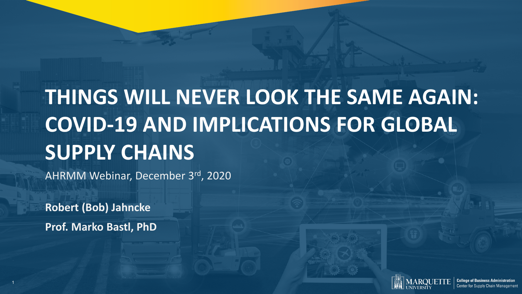# SUPPLY CHAINS **SUPPLY CHAINS THINGS WILL NEVER LOOK THE SAME AGAIN: COVID-19 AND IMPLICATIONS FOR GLOBAL**

AHRMM Webinar, December 3rd, 2020

**Robert (Bob) Jahncke Prof. Marko Bastl, PhD**

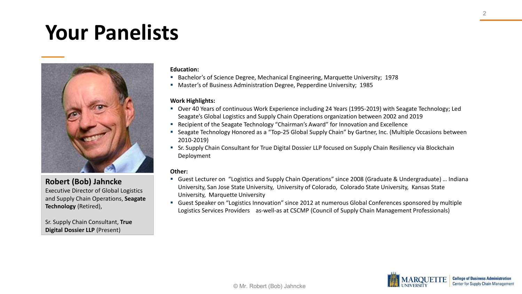### **Your Panelists**



### **Robert (Bob) Jahncke**

Executive Director of Global Logistics and Supply Chain Operations, **Seagate Technology** (Retired),

Sr. Supply Chain Consultant, **True Digital Dossier LLP** (Present)

#### **Education:**

- Bachelor's of Science Degree, Mechanical Engineering, Marquette University; 1978
- Master's of Business Administration Degree, Pepperdine University; 1985

#### **Work Highlights:**

- Over 40 Years of continuous Work Experience including 24 Years (1995-2019) with Seagate Technology; Led Seagate's Global Logistics and Supply Chain Operations organization between 2002 and 2019
- **Recipient of the Seagate Technology "Chairman's Award" for Innovation and Excellence**
- **Seagate Technology Honored as a "Top-25 Global Supply Chain" by Gartner, Inc. (Multiple Occasions between** 2010-2019)
- Sr. Supply Chain Consultant for True Digital Dossier LLP focused on Supply Chain Resiliency via Blockchain Deployment

### **Other:**

- Guest Lecturer on "Logistics and Supply Chain Operations" since 2008 (Graduate & Undergraduate) … Indiana University, San Jose State University, University of Colorado, Colorado State University, Kansas State University, Marquette University
- Guest Speaker on "Logistics Innovation" since 2012 at numerous Global Conferences sponsored by multiple Logistics Services Providers as-well-as at CSCMP (Council of Supply Chain Management Professionals)

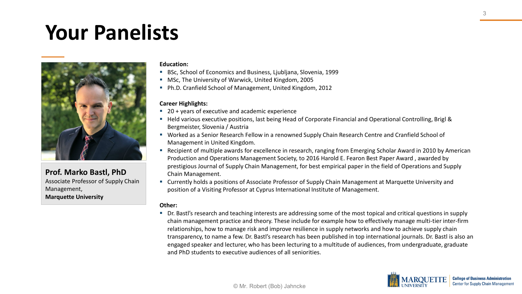### **Your Panelists**



**Prof. Marko Bastl, PhD** Associate Professor of Supply Chain Management, **Marquette University**

#### **Education:**

- BSc, School of Economics and Business, Ljubljana, Slovenia, 1999
- MSc, The University of Warwick, United Kingdom, 2005
- Ph.D. Cranfield School of Management, United Kingdom, 2012

### **Career Highlights:**

- 20 + years of executive and academic experience
- Held various executive positions, last being Head of Corporate Financial and Operational Controlling, Brigl & Bergmeister, Slovenia / Austria
- Worked as a Senior Research Fellow in a renowned Supply Chain Research Centre and Cranfield School of Management in United Kingdom.
- Recipient of multiple awards for excellence in research, ranging from Emerging Scholar Award in 2010 by American Production and Operations Management Society, to 2016 Harold E. Fearon Best Paper Award , awarded by prestigious Journal of Supply Chain Management, for best empirical paper in the field of Operations and Supply Chain Management.
- Currently holds a positions of Associate Professor of Supply Chain Management at Marquette University and position of a Visiting Professor at Cyprus International Institute of Management.

### **Other:**

 Dr. Bastl's research and teaching interests are addressing some of the most topical and critical questions in supply chain management practice and theory. These include for example how to effectively manage multi-tier inter-firm relationships, how to manage risk and improve resilience in supply networks and how to achieve supply chain transparency, to name a few. Dr. Bastl's research has been published in top international journals. Dr. Bastl is also an engaged speaker and lecturer, who has been lecturing to a multitude of audiences, from undergraduate, graduate and PhD students to executive audiences of all seniorities.